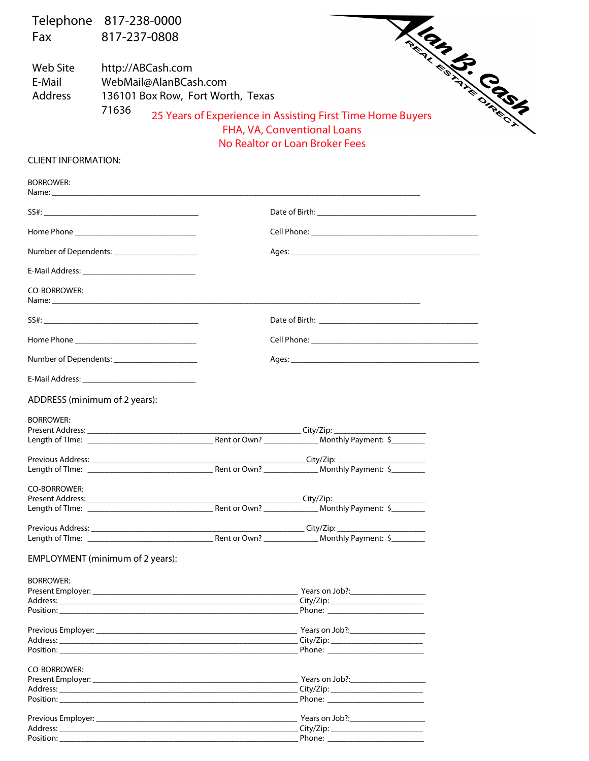| Telephone 817-238-0000                                                                                                                                                                                                         |                                                                                                                   |  |              |  |                                                                                                                                                                                                                                      |  |  |  |
|--------------------------------------------------------------------------------------------------------------------------------------------------------------------------------------------------------------------------------|-------------------------------------------------------------------------------------------------------------------|--|--------------|--|--------------------------------------------------------------------------------------------------------------------------------------------------------------------------------------------------------------------------------------|--|--|--|
| Fax                                                                                                                                                                                                                            | 817-237-0808                                                                                                      |  |              |  |                                                                                                                                                                                                                                      |  |  |  |
| <b>Web Site</b><br>E-Mail<br><b>Address</b>                                                                                                                                                                                    | <b>CONSTRUCTION CONTROLLER</b><br>http://ABCash.com<br>WebMail@AlanBCash.com<br>136101 Box Row, Fort Worth, Texas |  |              |  |                                                                                                                                                                                                                                      |  |  |  |
|                                                                                                                                                                                                                                | 71636                                                                                                             |  |              |  | 25 Years of Experience in Assisting First Time Home Buyers<br>FHA, VA, Conventional Loans<br>No Realtor or Loan Broker Fees                                                                                                          |  |  |  |
| <b>CLIENT INFORMATION:</b>                                                                                                                                                                                                     |                                                                                                                   |  |              |  |                                                                                                                                                                                                                                      |  |  |  |
| <b>BORROWER:</b>                                                                                                                                                                                                               |                                                                                                                   |  |              |  |                                                                                                                                                                                                                                      |  |  |  |
|                                                                                                                                                                                                                                |                                                                                                                   |  |              |  |                                                                                                                                                                                                                                      |  |  |  |
|                                                                                                                                                                                                                                |                                                                                                                   |  |              |  |                                                                                                                                                                                                                                      |  |  |  |
| Number of Dependents: ________________________                                                                                                                                                                                 |                                                                                                                   |  |              |  |                                                                                                                                                                                                                                      |  |  |  |
| E-Mail Address: National Address: National Address: National Address: National Address: National Address (National Address of Address (National Address of Address of Address of Address of Address of Address of Address (Nat |                                                                                                                   |  |              |  |                                                                                                                                                                                                                                      |  |  |  |
| <b>CO-BORROWER:</b>                                                                                                                                                                                                            |                                                                                                                   |  |              |  | Name: <u>contract and contract and contract and contract and contract and contract and contract and contract and contract and contract and contract and contract and contract and contract and contract and contract and contrac</u> |  |  |  |
|                                                                                                                                                                                                                                |                                                                                                                   |  |              |  |                                                                                                                                                                                                                                      |  |  |  |
|                                                                                                                                                                                                                                |                                                                                                                   |  |              |  |                                                                                                                                                                                                                                      |  |  |  |
| Number of Dependents: ________________________                                                                                                                                                                                 |                                                                                                                   |  |              |  |                                                                                                                                                                                                                                      |  |  |  |
|                                                                                                                                                                                                                                |                                                                                                                   |  |              |  |                                                                                                                                                                                                                                      |  |  |  |
| ADDRESS (minimum of 2 years):                                                                                                                                                                                                  |                                                                                                                   |  |              |  |                                                                                                                                                                                                                                      |  |  |  |
| <b>BORROWER:</b>                                                                                                                                                                                                               |                                                                                                                   |  |              |  |                                                                                                                                                                                                                                      |  |  |  |
| Length of TIme: __                                                                                                                                                                                                             |                                                                                                                   |  | Rent or Own? |  | ____________City/Zip: ____________<br>__ Monthly Payment: \$_______                                                                                                                                                                  |  |  |  |
|                                                                                                                                                                                                                                |                                                                                                                   |  |              |  |                                                                                                                                                                                                                                      |  |  |  |
|                                                                                                                                                                                                                                |                                                                                                                   |  |              |  |                                                                                                                                                                                                                                      |  |  |  |
|                                                                                                                                                                                                                                |                                                                                                                   |  |              |  |                                                                                                                                                                                                                                      |  |  |  |
| <b>CO-BORROWER:</b>                                                                                                                                                                                                            |                                                                                                                   |  |              |  |                                                                                                                                                                                                                                      |  |  |  |
|                                                                                                                                                                                                                                |                                                                                                                   |  |              |  |                                                                                                                                                                                                                                      |  |  |  |
|                                                                                                                                                                                                                                |                                                                                                                   |  |              |  |                                                                                                                                                                                                                                      |  |  |  |
|                                                                                                                                                                                                                                |                                                                                                                   |  |              |  |                                                                                                                                                                                                                                      |  |  |  |
| EMPLOYMENT (minimum of 2 years):                                                                                                                                                                                               |                                                                                                                   |  |              |  |                                                                                                                                                                                                                                      |  |  |  |
| <b>BORROWER:</b>                                                                                                                                                                                                               |                                                                                                                   |  |              |  |                                                                                                                                                                                                                                      |  |  |  |
|                                                                                                                                                                                                                                |                                                                                                                   |  |              |  |                                                                                                                                                                                                                                      |  |  |  |
|                                                                                                                                                                                                                                |                                                                                                                   |  |              |  | City/Zip: ____________________________<br>Phone: _________________________                                                                                                                                                           |  |  |  |
|                                                                                                                                                                                                                                |                                                                                                                   |  |              |  |                                                                                                                                                                                                                                      |  |  |  |
|                                                                                                                                                                                                                                |                                                                                                                   |  |              |  |                                                                                                                                                                                                                                      |  |  |  |
|                                                                                                                                                                                                                                |                                                                                                                   |  |              |  | _City/Zip: ___________________________<br>Phone: ________________________                                                                                                                                                            |  |  |  |
|                                                                                                                                                                                                                                |                                                                                                                   |  |              |  |                                                                                                                                                                                                                                      |  |  |  |
| CO-BORROWER:                                                                                                                                                                                                                   |                                                                                                                   |  |              |  |                                                                                                                                                                                                                                      |  |  |  |
|                                                                                                                                                                                                                                |                                                                                                                   |  |              |  | City/Zip: ____________________________                                                                                                                                                                                               |  |  |  |
|                                                                                                                                                                                                                                |                                                                                                                   |  |              |  | Phone: <u>with the contract of the contract of the contract of the contract of the contract of the contract of the contract of the contract of the contract of the contract of the contract of the contract of the contract of t</u> |  |  |  |
|                                                                                                                                                                                                                                |                                                                                                                   |  |              |  |                                                                                                                                                                                                                                      |  |  |  |
|                                                                                                                                                                                                                                |                                                                                                                   |  |              |  | City/Zip: __________________________                                                                                                                                                                                                 |  |  |  |
|                                                                                                                                                                                                                                |                                                                                                                   |  |              |  | Phone: _________________________                                                                                                                                                                                                     |  |  |  |